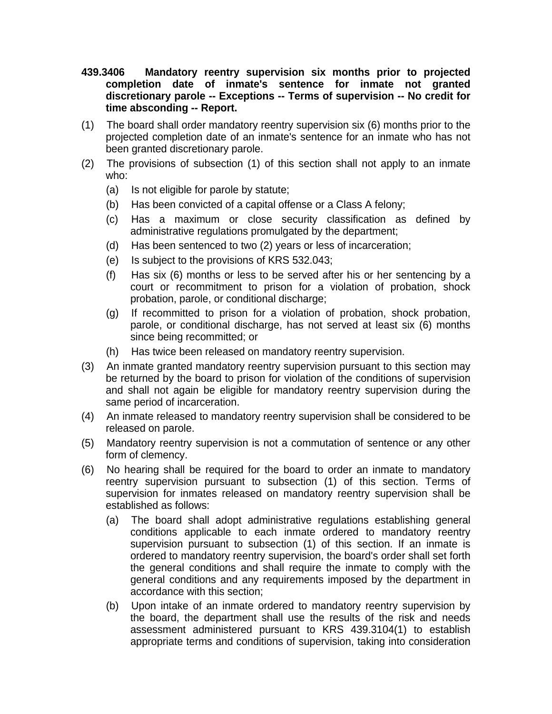- **439.3406 Mandatory reentry supervision six months prior to projected completion date of inmate's sentence for inmate not granted discretionary parole -- Exceptions -- Terms of supervision -- No credit for time absconding -- Report.**
- (1) The board shall order mandatory reentry supervision six (6) months prior to the projected completion date of an inmate's sentence for an inmate who has not been granted discretionary parole.
- (2) The provisions of subsection (1) of this section shall not apply to an inmate who:
	- (a) Is not eligible for parole by statute;
	- (b) Has been convicted of a capital offense or a Class A felony;
	- (c) Has a maximum or close security classification as defined by administrative regulations promulgated by the department;
	- (d) Has been sentenced to two (2) years or less of incarceration;
	- (e) Is subject to the provisions of KRS 532.043;
	- (f) Has six (6) months or less to be served after his or her sentencing by a court or recommitment to prison for a violation of probation, shock probation, parole, or conditional discharge;
	- (g) If recommitted to prison for a violation of probation, shock probation, parole, or conditional discharge, has not served at least six (6) months since being recommitted; or
	- (h) Has twice been released on mandatory reentry supervision.
- (3) An inmate granted mandatory reentry supervision pursuant to this section may be returned by the board to prison for violation of the conditions of supervision and shall not again be eligible for mandatory reentry supervision during the same period of incarceration.
- (4) An inmate released to mandatory reentry supervision shall be considered to be released on parole.
- (5) Mandatory reentry supervision is not a commutation of sentence or any other form of clemency.
- (6) No hearing shall be required for the board to order an inmate to mandatory reentry supervision pursuant to subsection (1) of this section. Terms of supervision for inmates released on mandatory reentry supervision shall be established as follows:
	- (a) The board shall adopt administrative regulations establishing general conditions applicable to each inmate ordered to mandatory reentry supervision pursuant to subsection (1) of this section. If an inmate is ordered to mandatory reentry supervision, the board's order shall set forth the general conditions and shall require the inmate to comply with the general conditions and any requirements imposed by the department in accordance with this section;
	- (b) Upon intake of an inmate ordered to mandatory reentry supervision by the board, the department shall use the results of the risk and needs assessment administered pursuant to KRS 439.3104(1) to establish appropriate terms and conditions of supervision, taking into consideration